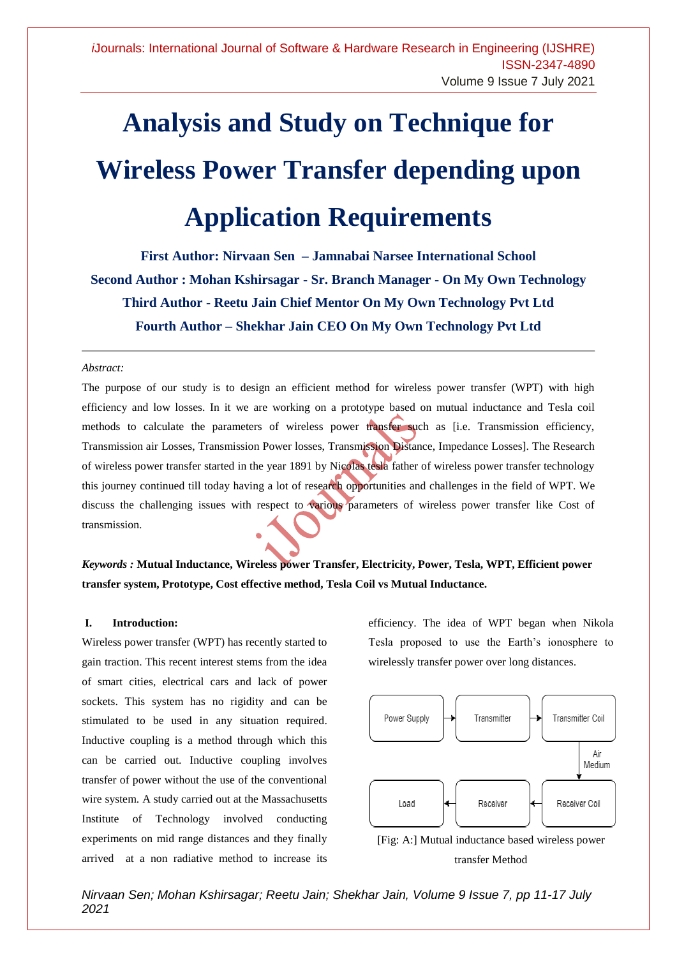# **Analysis and Study on Technique for Wireless Power Transfer depending upon Application Requirements**

**First Author: Nirvaan Sen – Jamnabai Narsee International School Second Author : Mohan Kshirsagar - Sr. Branch Manager - On My Own Technology Third Author - Reetu Jain Chief Mentor On My Own Technology Pvt Ltd Fourth Author – Shekhar Jain CEO On My Own Technology Pvt Ltd**

#### *Abstract:*

The purpose of our study is to design an efficient method for wireless power transfer (WPT) with high efficiency and low losses. In it we are working on a prototype based on mutual inductance and Tesla coil methods to calculate the parameters of wireless power transfer such as [i.e. Transmission efficiency, Transmission air Losses, Transmission Power losses, Transmission Distance, Impedance Losses]. The Research of wireless power transfer started in the year 1891 by Nicolas tesla father of wireless power transfer technology this journey continued till today having a lot of research opportunities and challenges in the field of WPT. We discuss the challenging issues with respect to various parameters of wireless power transfer like Cost of transmission.

# *Keywords :* **Mutual Inductance, Wireless power Transfer, Electricity, Power, Tesla, WPT, Efficient power transfer system, Prototype, Cost effective method, Tesla Coil vs Mutual Inductance.**

#### **I. Introduction:**

Wireless power transfer (WPT) has recently started to gain traction. This recent interest stems from the idea of smart cities, electrical cars and lack of power sockets. This system has no rigidity and can be stimulated to be used in any situation required. Inductive coupling is a method through which this can be carried out. Inductive coupling involves transfer of power without the use of the conventional wire system. A study carried out at the Massachusetts Institute of Technology involved conducting experiments on mid range distances and they finally arrived at a non radiative method to increase its

efficiency. The idea of WPT began when Nikola Tesla proposed to use the Earth's ionosphere to wirelessly transfer power over long distances.





*Nirvaan Sen; Mohan Kshirsagar; Reetu Jain; Shekhar Jain, Volume 9 Issue 7, pp 11-17 July 2021*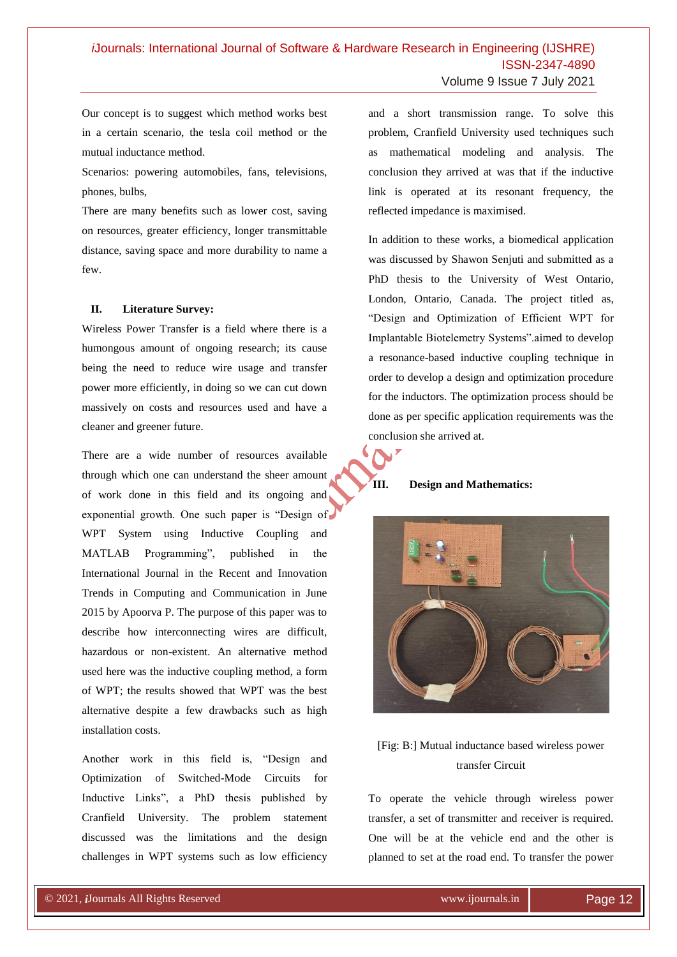Our concept is to suggest which method works best in a certain scenario, the tesla coil method or the mutual inductance method.

Scenarios: powering automobiles, fans, televisions, phones, bulbs,

There are many benefits such as lower cost, saving on resources, greater efficiency, longer transmittable distance, saving space and more durability to name a few.

## **II. Literature Survey:**

Wireless Power Transfer is a field where there is a humongous amount of ongoing research; its cause being the need to reduce wire usage and transfer power more efficiently, in doing so we can cut down massively on costs and resources used and have a cleaner and greener future.

There are a wide number of resources available through which one can understand the sheer amount of work done in this field and its ongoing and exponential growth. One such paper is "Design of WPT System using Inductive Coupling and MATLAB Programming", published in the International Journal in the Recent and Innovation Trends in Computing and Communication in June 2015 by Apoorva P. The purpose of this paper was to describe how interconnecting wires are difficult, hazardous or non-existent. An alternative method used here was the inductive coupling method, a form of WPT; the results showed that WPT was the best alternative despite a few drawbacks such as high installation costs.

Another work in this field is, "Design and Optimization of Switched-Mode Circuits for Inductive Links", a PhD thesis published by Cranfield University. The problem statement discussed was the limitations and the design challenges in WPT systems such as low efficiency

© 2020, *i*Journals All Rights Reserved www.ijournals.in

and a short transmission range. To solve this problem, Cranfield University used techniques such as mathematical modeling and analysis. The conclusion they arrived at was that if the inductive link is operated at its resonant frequency, the reflected impedance is maximised.

In addition to these works, a biomedical application was discussed by Shawon Senjuti and submitted as a PhD thesis to the University of West Ontario, London, Ontario, Canada. The project titled as, "Design and Optimization of Efficient WPT for Implantable Biotelemetry Systems".aimed to develop a resonance-based inductive coupling technique in order to develop a design and optimization procedure for the inductors. The optimization process should be done as per specific application requirements was the conclusion she arrived at.

# **III. Design and Mathematics:**



# [Fig: B:] Mutual inductance based wireless power transfer Circuit

To operate the vehicle through wireless power transfer, a set of transmitter and receiver is required. One will be at the vehicle end and the other is planned to set at the road end. To transfer the power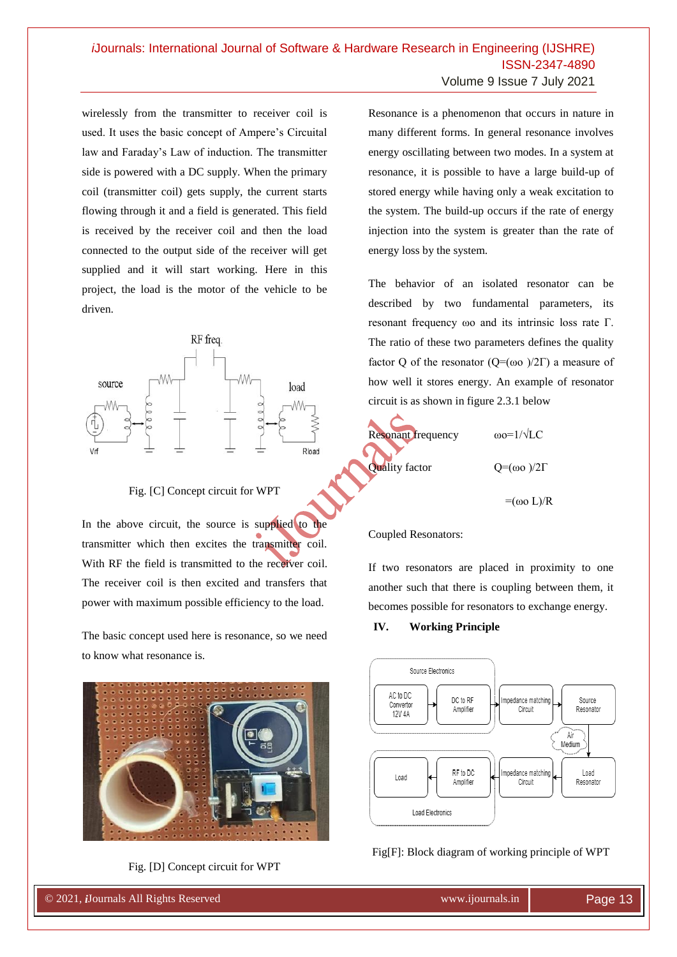wirelessly from the transmitter to receiver coil is used. It uses the basic concept of Ampere's Circuital law and Faraday's Law of induction. The transmitter side is powered with a DC supply. When the primary coil (transmitter coil) gets supply, the current starts flowing through it and a field is generated. This field is received by the receiver coil and then the load connected to the output side of the receiver will get supplied and it will start working. Here in this project, the load is the motor of the vehicle to be driven.



## Fig. [C] Concept circuit for WPT

In the above circuit, the source is supplied to the transmitter which then excites the transmitter coil. With RF the field is transmitted to the receiver coil. The receiver coil is then excited and transfers that power with maximum possible efficiency to the load.

The basic concept used here is resonance, so we need to know what resonance is.



Fig. [D] Concept circuit for WPT

© 2020, *i*Journals All Rights Reserved www.ijournals.in

Resonance is a phenomenon that occurs in nature in many different forms. In general resonance involves energy oscillating between two modes. In a system at resonance, it is possible to have a large build-up of stored energy while having only a weak excitation to the system. The build-up occurs if the rate of energy injection into the system is greater than the rate of energy loss by the system.

The behavior of an isolated resonator can be described by two fundamental parameters, its resonant frequency ωo and its intrinsic loss rate Γ. The ratio of these two parameters defines the quality factor Q of the resonator ( $Q=(\omega o)/2\Gamma$ ) a measure of how well it stores energy. An example of resonator circuit is as shown in figure 2.3.1 below



# Coupled Resonators:

If two resonators are placed in proximity to one another such that there is coupling between them, it becomes possible for resonators to exchange energy.

**IV. Working Principle**



# Fig[F]: Block diagram of working principle of WPT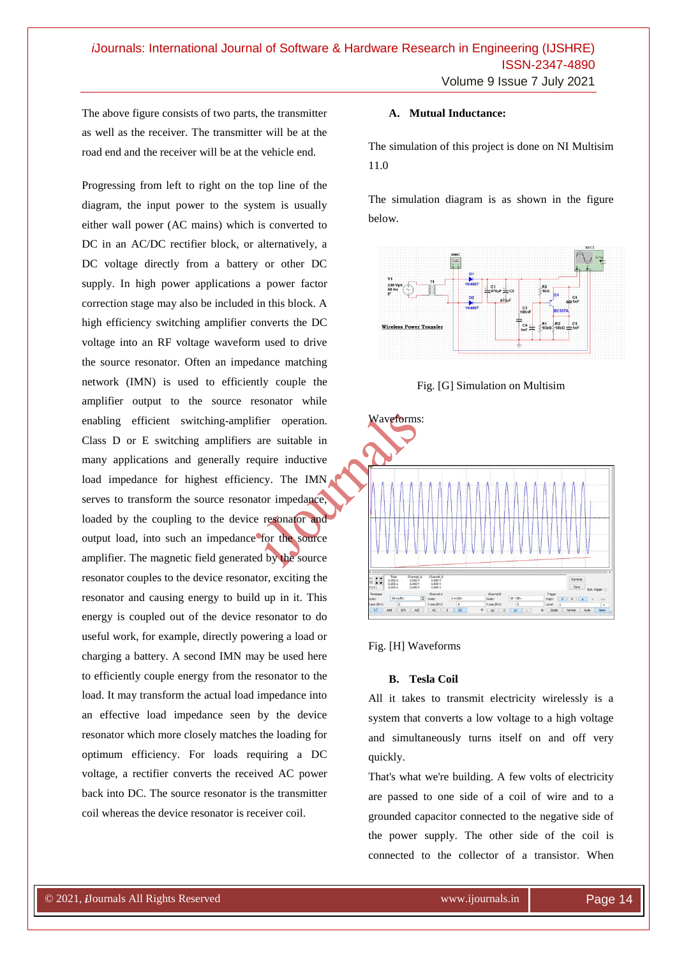The above figure consists of two parts, the transmitter as well as the receiver. The transmitter will be at the road end and the receiver will be at the vehicle end.

Progressing from left to right on the top line of the diagram, the input power to the system is usually either wall power (AC mains) which is converted to DC in an AC/DC rectifier block, or alternatively, a DC voltage directly from a battery or other DC supply. In high power applications a power factor correction stage may also be included in this block. A high efficiency switching amplifier converts the DC voltage into an RF voltage waveform used to drive the source resonator. Often an impedance matching network (IMN) is used to efficiently couple the amplifier output to the source resonator while enabling efficient switching-amplifier operation. Class D or E switching amplifiers are suitable in many applications and generally require inductive load impedance for highest efficiency. The IMN serves to transform the source resonator impedance, loaded by the coupling to the device resonator and output load, into such an impedance for the source amplifier. The magnetic field generated by the source resonator couples to the device resonator, exciting the resonator and causing energy to build up in it. This energy is coupled out of the device resonator to do useful work, for example, directly powering a load or charging a battery. A second IMN may be used here to efficiently couple energy from the resonator to the load. It may transform the actual load impedance into an effective load impedance seen by the device resonator which more closely matches the loading for optimum efficiency. For loads requiring a DC voltage, a rectifier converts the received AC power back into DC. The source resonator is the transmitter coil whereas the device resonator is receiver coil.

# **A. Mutual Inductance:**

The simulation of this project is done on NI Multisim 11.0

The simulation diagram is as shown in the figure below.



Fig. [G] Simulation on Multisim



Fig. [H] Waveforms

#### **B. Tesla Coil**

All it takes to transmit electricity wirelessly is a system that converts a low voltage to a high voltage and simultaneously turns itself on and off very quickly.

That's what we're building. A few volts of electricity are passed to one side of a coil of wire and to a grounded capacitor connected to the negative side of the power supply. The other side of the coil is connected to the collector of a transistor. When

© 2020, *i*Journals All Rights Reserved www.ijournals.in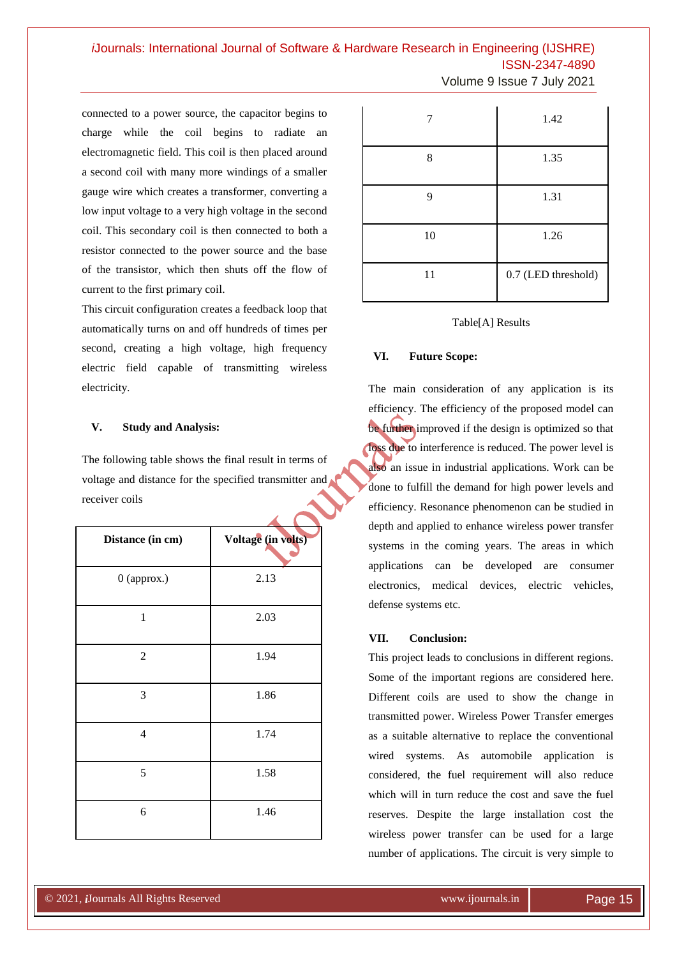*i*Journals: International Journal of Software & Hardware Research in Engineering (IJSHRE) ISSN-2347-4890 Volume 9 Issue 7 July 2021

connected to a power source, the capacitor begins to charge while the coil begins to radiate an electromagnetic field. This coil is then placed around a second coil with many more windings of a smaller gauge wire which creates a transformer, converting a low input voltage to a very high voltage in the second coil. This secondary coil is then connected to both a resistor connected to the power source and the base of the transistor, which then shuts off the flow of current to the first primary coil.

This circuit configuration creates a feedback loop that automatically turns on and off hundreds of times per second, creating a high voltage, high frequency electric field capable of transmitting wireless electricity.

#### **V. Study and Analysis:**

The following table shows the final result in terms of voltage and distance for the specified transmitter and receiver coils

| Distance (in cm) | Voltage (in volts) |
|------------------|--------------------|
| 0 (approx.)      | 2.13               |
| $\mathbf{1}$     | 2.03               |
| $\mathfrak 2$    | 1.94               |
| 3                | 1.86               |
| $\overline{4}$   | 1.74               |
| 5                | 1.58               |
| 6                | 1.46               |

© 2020, *i*Journals All Rights Reserved www.ijournals.in

|    | 1.42                |
|----|---------------------|
| 8  | 1.35                |
| 9  | 1.31                |
| 10 | 1.26                |
| 11 | 0.7 (LED threshold) |

#### Table[A] Results

## **VI. Future Scope:**

The main consideration of any application is its efficiency. The efficiency of the proposed model can be further improved if the design is optimized so that loss due to interference is reduced. The power level is also an issue in industrial applications. Work can be done to fulfill the demand for high power levels and efficiency. Resonance phenomenon can be studied in depth and applied to enhance wireless power transfer systems in the coming years. The areas in which applications can be developed are consumer electronics, medical devices, electric vehicles, defense systems etc.

#### **VII. Conclusion:**

This project leads to conclusions in different regions. Some of the important regions are considered here. Different coils are used to show the change in transmitted power. Wireless Power Transfer emerges as a suitable alternative to replace the conventional wired systems. As automobile application is considered, the fuel requirement will also reduce which will in turn reduce the cost and save the fuel reserves. Despite the large installation cost the wireless power transfer can be used for a large number of applications. The circuit is very simple to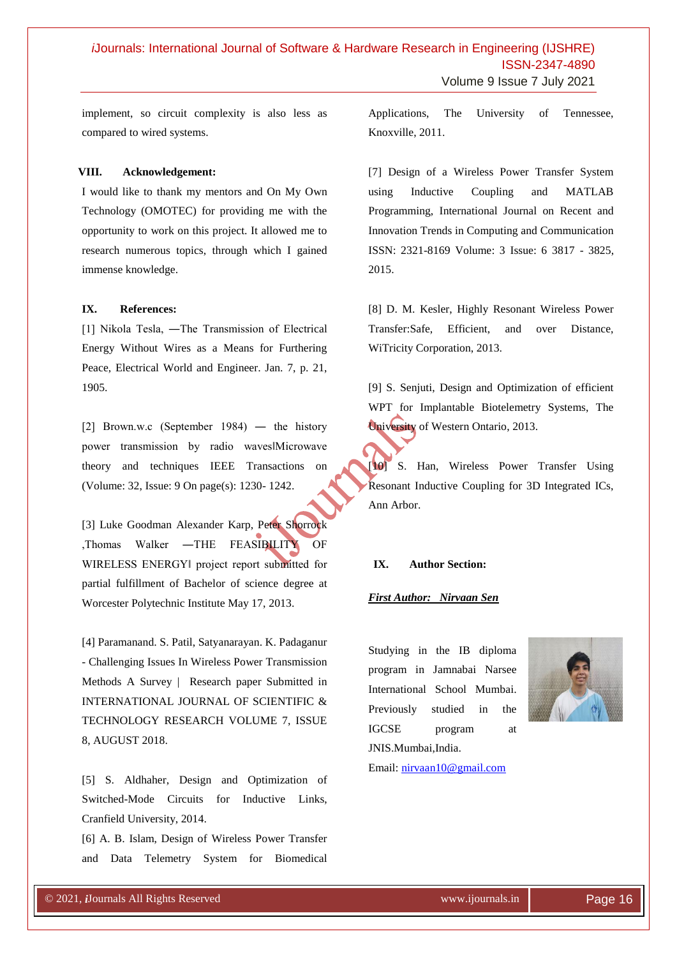implement, so circuit complexity is also less as compared to wired systems.

#### **VIII. Acknowledgement:**

I would like to thank my mentors and On My Own Technology (OMOTEC) for providing me with the opportunity to work on this project. It allowed me to research numerous topics, through which I gained immense knowledge.

#### **IX. References:**

[1] Nikola Tesla, ―The Transmission of Electrical Energy Without Wires as a Means for Furthering Peace, Electrical World and Engineer. Jan. 7, p. 21, 1905.

[2] Brown.w.c (September 1984) — the history power transmission by radio waves‖Microwave theory and techniques IEEE Transactions on (Volume: 32, Issue: 9 On page(s): 1230- 1242.

[3] Luke Goodman Alexander Karp, Peter Shorrock ,Thomas Walker ―THE FEASIBILITY OF WIRELESS ENERGY‖ project report submitted for partial fulfillment of Bachelor of science degree at Worcester Polytechnic Institute May 17, 2013.

[4] Paramanand. S. Patil, Satyanarayan. K. Padaganur - Challenging Issues In Wireless Power Transmission Methods A Survey | Research paper Submitted in INTERNATIONAL JOURNAL OF SCIENTIFIC & TECHNOLOGY RESEARCH VOLUME 7, ISSUE 8, AUGUST 2018.

[5] S. Aldhaher, Design and Optimization of Switched-Mode Circuits for Inductive Links, Cranfield University, 2014.

[6] A. B. Islam, Design of Wireless Power Transfer and Data Telemetry System for Biomedical

© 2020, *i*Journals All Rights Reserved www.ijournals.in

Applications, The University of Tennessee, Knoxville, 2011.

[7] Design of a Wireless Power Transfer System using Inductive Coupling and MATLAB Programming, International Journal on Recent and Innovation Trends in Computing and Communication ISSN: 2321-8169 Volume: 3 Issue: 6 3817 - 3825, 2015.

[8] D. M. Kesler, Highly Resonant Wireless Power Transfer:Safe, Efficient, and over Distance, WiTricity Corporation, 2013.

[9] S. Senjuti, Design and Optimization of efficient WPT for Implantable Biotelemetry Systems, The University of Western Ontario, 2013.

[10] S. Han, Wireless Power Transfer Using Resonant Inductive Coupling for 3D Integrated ICs, Ann Arbor.

#### **IX. Author Section:**

#### *First Author: Nirvaan Sen*

Studying in the IB diploma program in Jamnabai Narsee International School Mumbai. Previously studied in the IGCSE program at JNIS.Mumbai,India.



Email: [nirvaan10@gmail.com](mailto:nirvaan10@gmail.com)